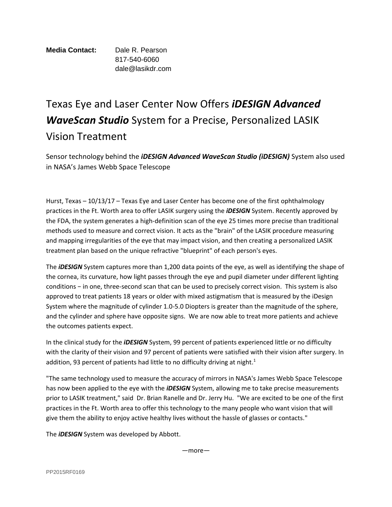## **Media Contact:** Dale R. Pearson 817-540-6060 dale@lasikdr.com

## Texas Eye and Laser Center Now Offers *iDESIGN Advanced WaveScan Studio* System for a Precise, Personalized LASIK Vision Treatment

Sensor technology behind the *iDESIGN Advanced WaveScan Studio (iDESIGN)* System also used in NASA's James Webb Space Telescope

Hurst, Texas – 10/13/17 – Texas Eye and Laser Center has become one of the first ophthalmology practices in the Ft. Worth area to offer LASIK surgery using the *iDESIGN* System. Recently approved by the FDA, the system generates a high-definition scan of the eye 25 times more precise than traditional methods used to measure and correct vision. It acts as the "brain" of the LASIK procedure measuring and mapping irregularities of the eye that may impact vision, and then creating a personalized LASIK treatment plan based on the unique refractive "blueprint" of each person's eyes.

The *iDESIGN* System captures more than 1,200 data points of the eye, as well as identifying the shape of the cornea, its curvature, how light passes through the eye and pupil diameter under different lighting conditions − in one, three-second scan that can be used to precisely correct vision. This system is also approved to treat patients 18 years or older with mixed astigmatism that is measured by the iDesign System where the magnitude of cylinder 1.0-5.0 Diopters is greater than the magnitude of the sphere, and the cylinder and sphere have opposite signs. We are now able to treat more patients and achieve the outcomes patients expect.

In the clinical study for the *iDESIGN* System, 99 percent of patients experienced little or no difficulty with the clarity of their vision and 97 percent of patients were satisfied with their vision after surgery. In addition, 93 percent of patients had little to no difficulty driving at night.<sup>1</sup>

"The same technology used to measure the accuracy of mirrors in NASA's James Webb Space Telescope has now been applied to the eye with the *iDESIGN* System, allowing me to take precise measurements prior to LASIK treatment," said Dr. Brian Ranelle and Dr. Jerry Hu. "We are excited to be one of the first practices in the Ft. Worth area to offer this technology to the many people who want vision that will give them the ability to enjoy active healthy lives without the hassle of glasses or contacts."

The *iDESIGN* System was developed by Abbott.

—more—